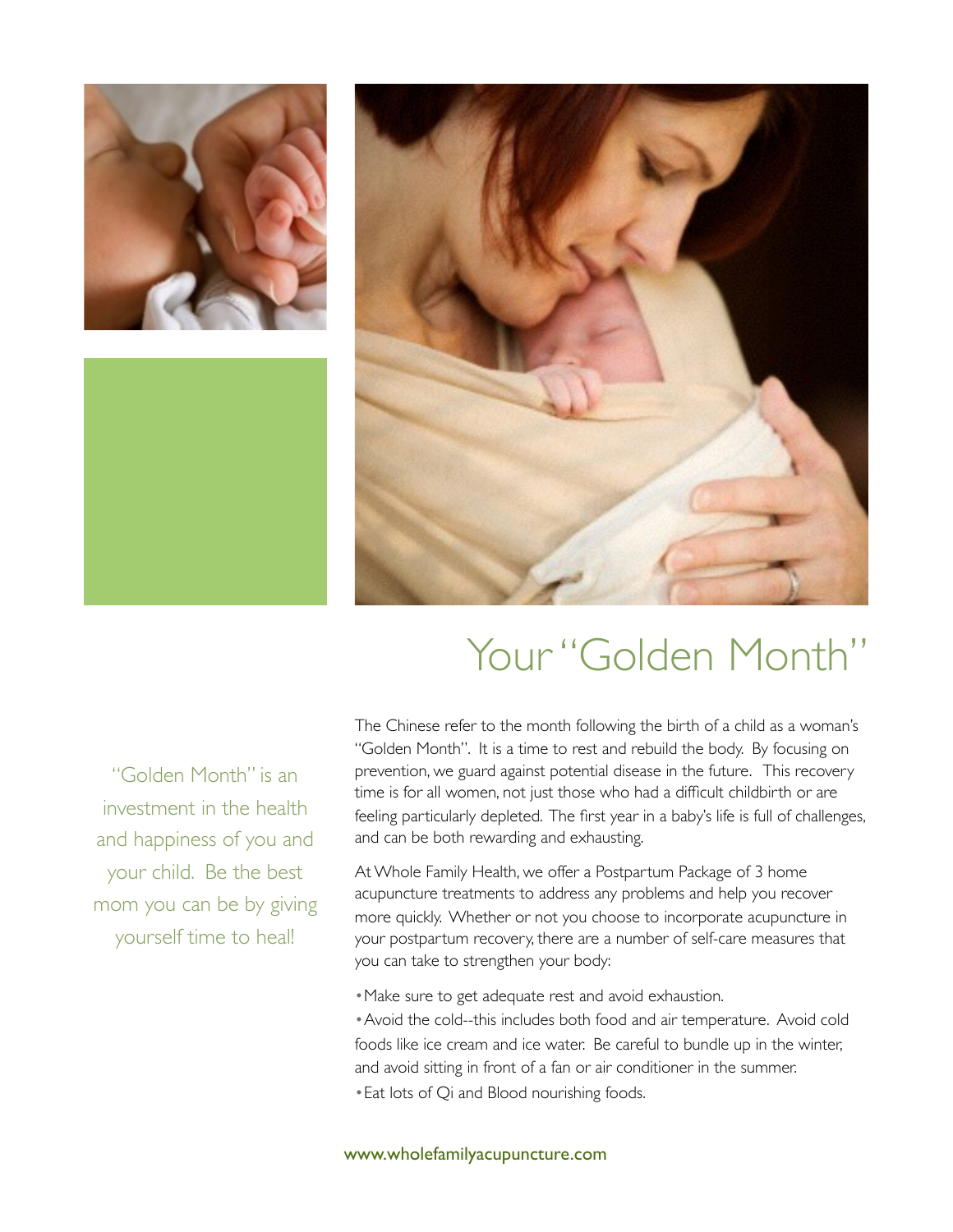





"Golden Month" is an investment in the health and happiness of you and your child. Be the best mom you can be by giving yourself time to heal!

### Your "Golden Month"

The Chinese refer to the month following the birth of a child as a woman's "Golden Month". It is a time to rest and rebuild the body. By focusing on prevention, we guard against potential disease in the future. This recovery time is for all women, not just those who had a difficult childbirth or are feeling particularly depleted. The first year in a baby's life is full of challenges, and can be both rewarding and exhausting.

At Whole Family Health, we offer a Postpartum Package of 3 home acupuncture treatments to address any problems and help you recover more quickly. Whether or not you choose to incorporate acupuncture in your postpartum recovery, there are a number of self-care measures that you can take to strengthen your body:

•Make sure to get adequate rest and avoid exhaustion.

•Avoid the cold--this includes both food and air temperature. Avoid cold foods like ice cream and ice water. Be careful to bundle up in the winter, and avoid sitting in front of a fan or air conditioner in the summer. •Eat lots of Qi and Blood nourishing foods.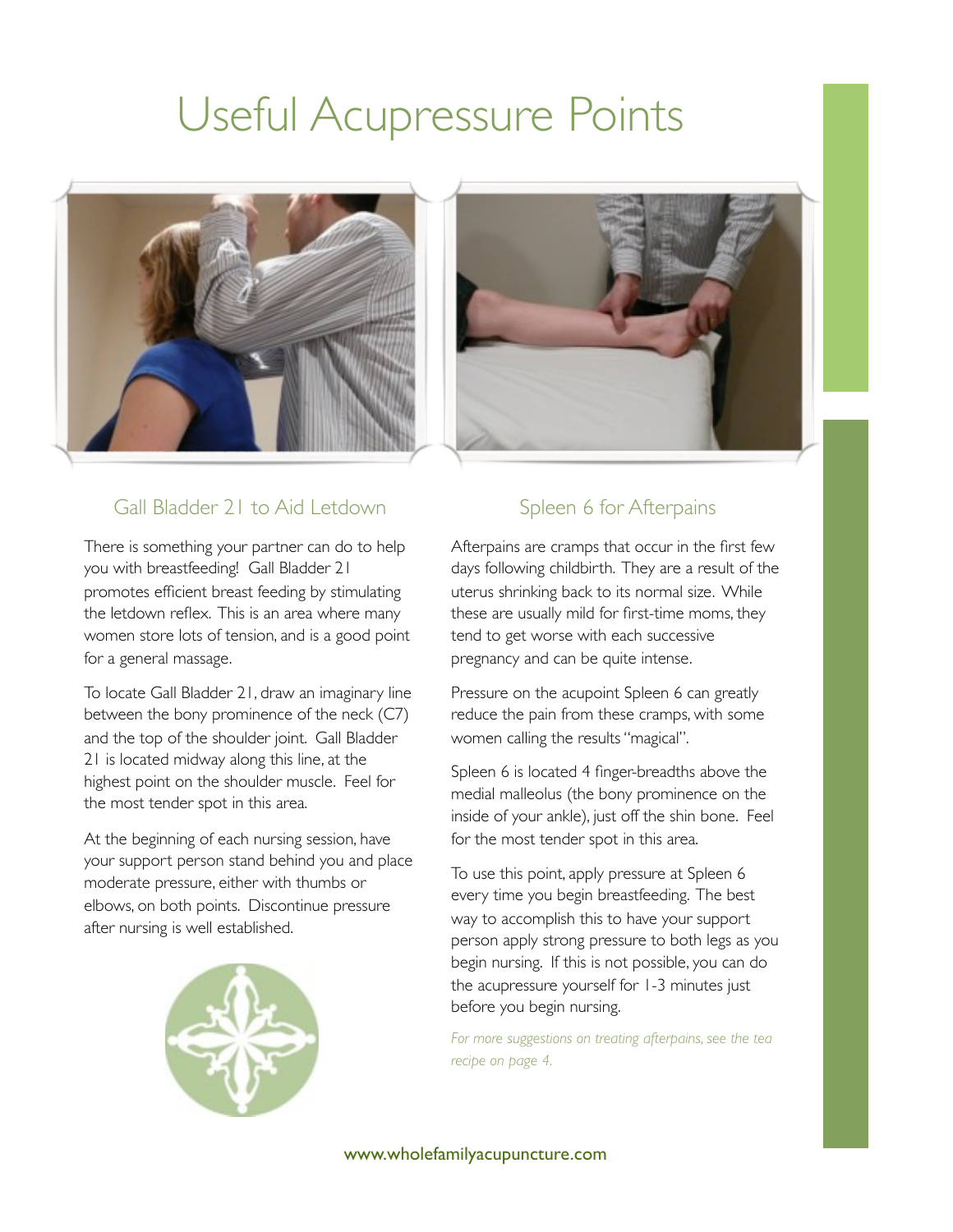## Useful Acupressure Points





#### Gall Bladder 21 to Aid Letdown

There is something your partner can do to help you with breastfeeding! Gall Bladder 21 promotes efficient breast feeding by stimulating the letdown reflex. This is an area where many women store lots of tension, and is a good point for a general massage.

To locate Gall Bladder 21, draw an imaginary line between the bony prominence of the neck (C7) and the top of the shoulder joint. Gall Bladder 21 is located midway along this line, at the highest point on the shoulder muscle. Feel for the most tender spot in this area.

At the beginning of each nursing session, have your support person stand behind you and place moderate pressure, either with thumbs or elbows, on both points. Discontinue pressure after nursing is well established.



#### Spleen 6 for Afterpains

Afterpains are cramps that occur in the first few days following childbirth. They are a result of the uterus shrinking back to its normal size. While these are usually mild for first-time moms, they tend to get worse with each successive pregnancy and can be quite intense.

Pressure on the acupoint Spleen 6 can greatly reduce the pain from these cramps, with some women calling the results "magical".

Spleen 6 is located 4 finger-breadths above the medial malleolus (the bony prominence on the inside of your ankle), just off the shin bone. Feel for the most tender spot in this area.

To use this point, apply pressure at Spleen 6 every time you begin breastfeeding. The best way to accomplish this to have your support person apply strong pressure to both legs as you begin nursing. If this is not possible, you can do the acupressure yourself for 1-3 minutes just before you begin nursing.

*For more suggestions on treating afterpains, see the tea recipe on page 4.*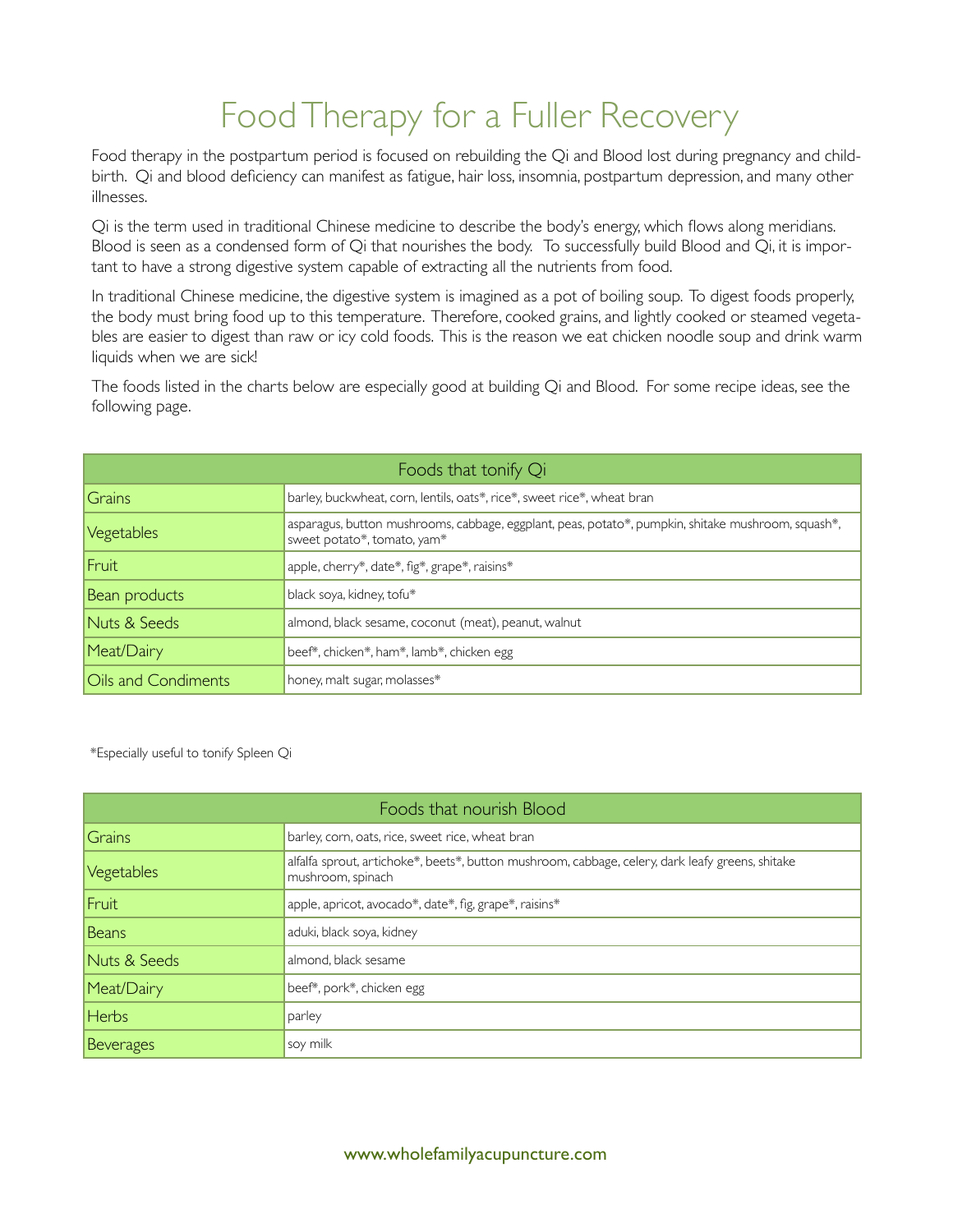### Food Therapy for a Fuller Recovery

Food therapy in the postpartum period is focused on rebuilding the Qi and Blood lost during pregnancy and childbirth. Qi and blood deficiency can manifest as fatigue, hair loss, insomnia, postpartum depression, and many other illnesses.

Qi is the term used in traditional Chinese medicine to describe the body's energy, which flows along meridians. Blood is seen as a condensed form of Qi that nourishes the body. To successfully build Blood and Qi, it is important to have a strong digestive system capable of extracting all the nutrients from food.

In traditional Chinese medicine, the digestive system is imagined as a pot of boiling soup. To digest foods properly, the body must bring food up to this temperature. Therefore, cooked grains, and lightly cooked or steamed vegetables are easier to digest than raw or icy cold foods. This is the reason we eat chicken noodle soup and drink warm liquids when we are sick!

The foods listed in the charts below are especially good at building Qi and Blood. For some recipe ideas, see the following page.

| Foods that tonify Qi |                                                                                                                                   |
|----------------------|-----------------------------------------------------------------------------------------------------------------------------------|
| Grains               | barley, buckwheat, corn, lentils, oats*, rice*, sweet rice*, wheat bran                                                           |
| Vegetables           | asparagus, button mushrooms, cabbage, eggplant, peas, potato*, pumpkin, shitake mushroom, squash*,<br>sweet potato*, tomato, yam* |
| Fruit                | apple, cherry*, date*, fig*, grape*, raisins*                                                                                     |
| Bean products        | black soya, kidney, tofu*                                                                                                         |
| Nuts & Seeds         | almond, black sesame, coconut (meat), peanut, walnut                                                                              |
| Meat/Dairy           | beef*, chicken*, ham*, lamb*, chicken egg                                                                                         |
| Oils and Condiments  | honey, malt sugar, molasses*                                                                                                      |

\*Especially useful to tonify Spleen Qi

| Foods that nourish Blood |                                                                                                                       |
|--------------------------|-----------------------------------------------------------------------------------------------------------------------|
| Grains                   | barley, corn, oats, rice, sweet rice, wheat bran                                                                      |
| Vegetables               | alfalfa sprout, artichoke*, beets*, button mushroom, cabbage, celery, dark leafy greens, shitake<br>mushroom, spinach |
| Fruit                    | apple, apricot, avocado*, date*, fig, grape*, raisins*                                                                |
| Beans                    | aduki, black soya, kidney                                                                                             |
| Nuts & Seeds             | almond, black sesame                                                                                                  |
| Meat/Dairy               | beef*, pork*, chicken egg                                                                                             |
| <b>Herbs</b>             | parley                                                                                                                |
| Beverages                | soy milk                                                                                                              |